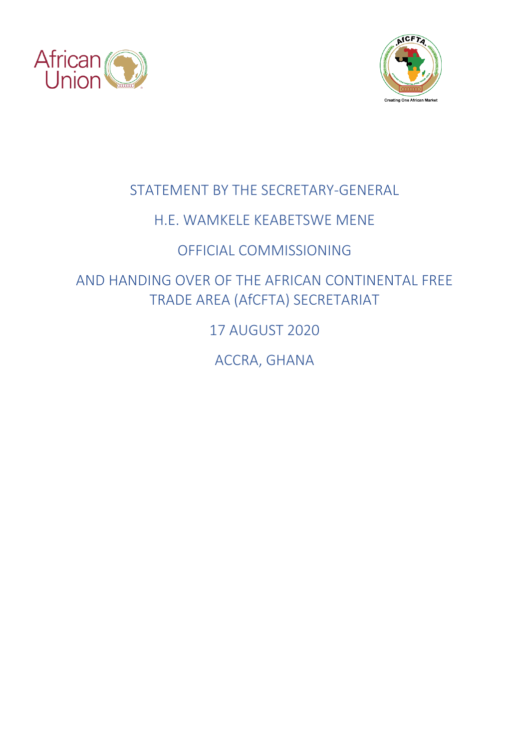



# STATEMENT BY THE SECRETARY-GENERAL

## H.E. WAMKELE KEABETSWE MENE

# OFFICIAL COMMISSIONING

AND HANDING OVER OF THE AFRICAN CONTINENTAL FREE TRADE AREA (AfCFTA) SECRETARIAT

17 AUGUST 2020

ACCRA, GHANA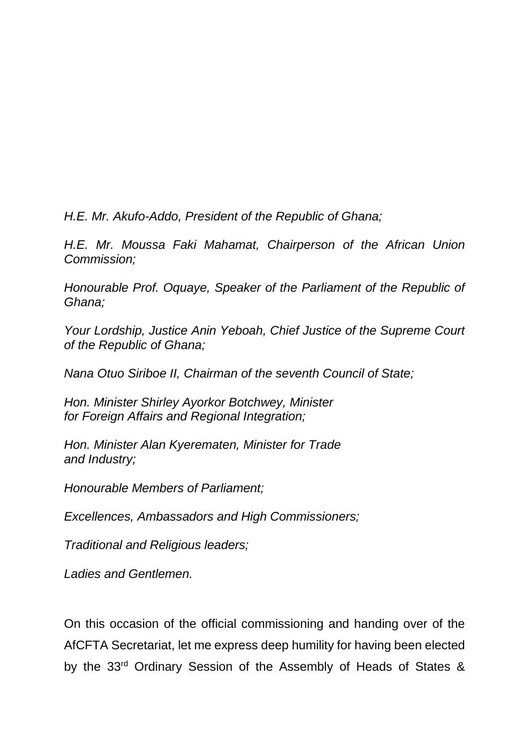*H.E. Mr. Akufo-Addo, President of the Republic of Ghana;*

*H.E. Mr. Moussa Faki Mahamat, Chairperson of the African Union Commission;*

*Honourable Prof. Oquaye, Speaker of the Parliament of the Republic of Ghana;*

*Your Lordship, Justice Anin Yeboah, Chief Justice of the Supreme Court of the Republic of Ghana;*

*Nana Otuo Siriboe II, Chairman of the seventh Council of State;*

*Hon. Minister Shirley Ayorkor Botchwey, Minister for Foreign Affairs and Regional Integration;*

*Hon. Minister Alan Kyerematen, Minister for Trade and Industry;*

*Honourable Members of Parliament;*

*Excellences, Ambassadors and High Commissioners;*

*Traditional and Religious leaders;* 

*Ladies and Gentlemen.*

On this occasion of the official commissioning and handing over of the AfCFTA Secretariat, let me express deep humility for having been elected by the 33rd Ordinary Session of the Assembly of Heads of States &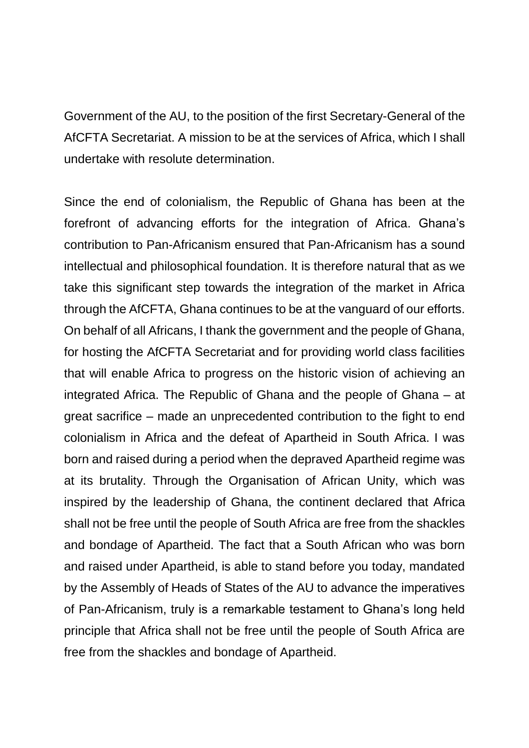Government of the AU, to the position of the first Secretary-General of the AfCFTA Secretariat. A mission to be at the services of Africa, which I shall undertake with resolute determination.

Since the end of colonialism, the Republic of Ghana has been at the forefront of advancing efforts for the integration of Africa. Ghana's contribution to Pan-Africanism ensured that Pan-Africanism has a sound intellectual and philosophical foundation. It is therefore natural that as we take this significant step towards the integration of the market in Africa through the AfCFTA, Ghana continues to be at the vanguard of our efforts. On behalf of all Africans, I thank the government and the people of Ghana, for hosting the AfCFTA Secretariat and for providing world class facilities that will enable Africa to progress on the historic vision of achieving an integrated Africa. The Republic of Ghana and the people of Ghana – at great sacrifice – made an unprecedented contribution to the fight to end colonialism in Africa and the defeat of Apartheid in South Africa. I was born and raised during a period when the depraved Apartheid regime was at its brutality. Through the Organisation of African Unity, which was inspired by the leadership of Ghana, the continent declared that Africa shall not be free until the people of South Africa are free from the shackles and bondage of Apartheid. The fact that a South African who was born and raised under Apartheid, is able to stand before you today, mandated by the Assembly of Heads of States of the AU to advance the imperatives of Pan-Africanism, truly is a remarkable testament to Ghana's long held principle that Africa shall not be free until the people of South Africa are free from the shackles and bondage of Apartheid.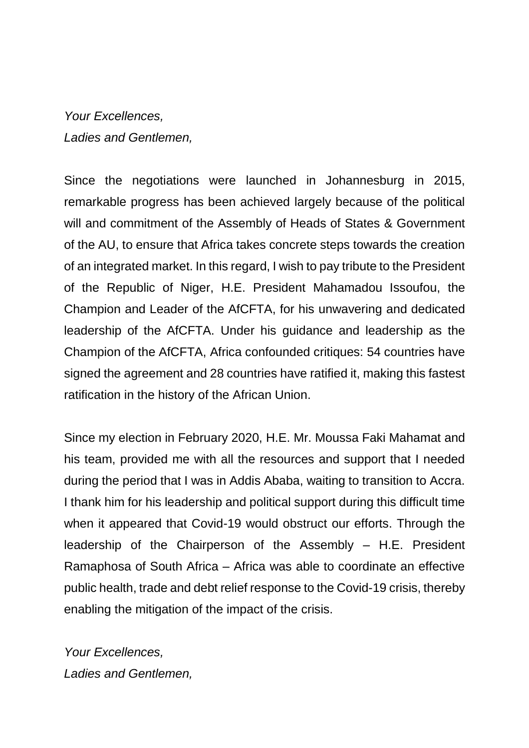### *Your Excellences, Ladies and Gentlemen,*

Since the negotiations were launched in Johannesburg in 2015, remarkable progress has been achieved largely because of the political will and commitment of the Assembly of Heads of States & Government of the AU, to ensure that Africa takes concrete steps towards the creation of an integrated market. In this regard, I wish to pay tribute to the President of the Republic of Niger, H.E. President Mahamadou Issoufou, the Champion and Leader of the AfCFTA, for his unwavering and dedicated leadership of the AfCFTA. Under his guidance and leadership as the Champion of the AfCFTA, Africa confounded critiques: 54 countries have signed the agreement and 28 countries have ratified it, making this fastest ratification in the history of the African Union.

Since my election in February 2020, H.E. Mr. Moussa Faki Mahamat and his team, provided me with all the resources and support that I needed during the period that I was in Addis Ababa, waiting to transition to Accra. I thank him for his leadership and political support during this difficult time when it appeared that Covid-19 would obstruct our efforts. Through the leadership of the Chairperson of the Assembly – H.E. President Ramaphosa of South Africa – Africa was able to coordinate an effective public health, trade and debt relief response to the Covid-19 crisis, thereby enabling the mitigation of the impact of the crisis.

*Your Excellences, Ladies and Gentlemen,*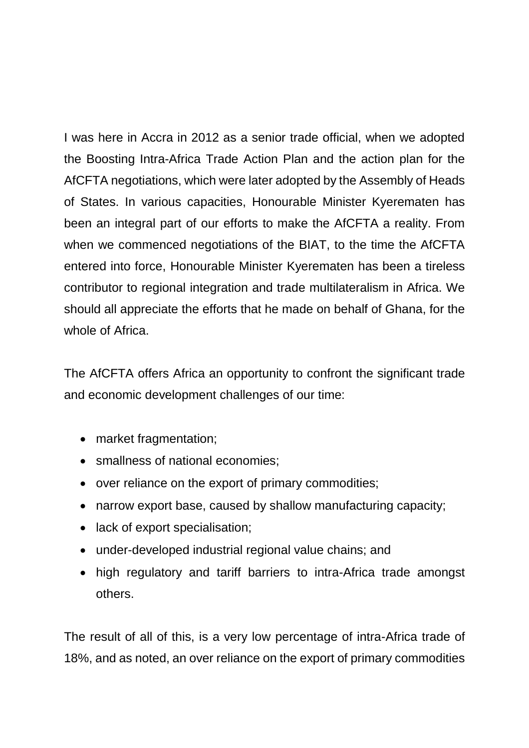I was here in Accra in 2012 as a senior trade official, when we adopted the Boosting Intra-Africa Trade Action Plan and the action plan for the AfCFTA negotiations, which were later adopted by the Assembly of Heads of States. In various capacities, Honourable Minister Kyerematen has been an integral part of our efforts to make the AfCFTA a reality. From when we commenced negotiations of the BIAT, to the time the AfCFTA entered into force, Honourable Minister Kyerematen has been a tireless contributor to regional integration and trade multilateralism in Africa. We should all appreciate the efforts that he made on behalf of Ghana, for the whole of Africa.

The AfCFTA offers Africa an opportunity to confront the significant trade and economic development challenges of our time:

- market fragmentation;
- smallness of national economies;
- over reliance on the export of primary commodities;
- narrow export base, caused by shallow manufacturing capacity;
- lack of export specialisation;
- under-developed industrial regional value chains; and
- high regulatory and tariff barriers to intra-Africa trade amongst others.

The result of all of this, is a very low percentage of intra-Africa trade of 18%, and as noted, an over reliance on the export of primary commodities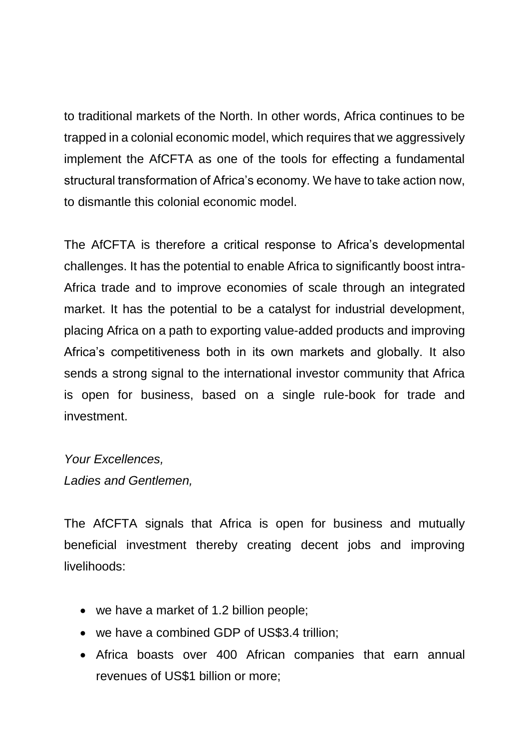to traditional markets of the North. In other words, Africa continues to be trapped in a colonial economic model, which requires that we aggressively implement the AfCFTA as one of the tools for effecting a fundamental structural transformation of Africa's economy. We have to take action now, to dismantle this colonial economic model.

The AfCFTA is therefore a critical response to Africa's developmental challenges. It has the potential to enable Africa to significantly boost intra-Africa trade and to improve economies of scale through an integrated market. It has the potential to be a catalyst for industrial development, placing Africa on a path to exporting value-added products and improving Africa's competitiveness both in its own markets and globally. It also sends a strong signal to the international investor community that Africa is open for business, based on a single rule-book for trade and investment.

#### *Your Excellences, Ladies and Gentlemen,*

The AfCFTA signals that Africa is open for business and mutually beneficial investment thereby creating decent jobs and improving livelihoods:

- we have a market of 1.2 billion people;
- we have a combined GDP of US\$3.4 trillion;
- Africa boasts over 400 African companies that earn annual revenues of US\$1 billion or more;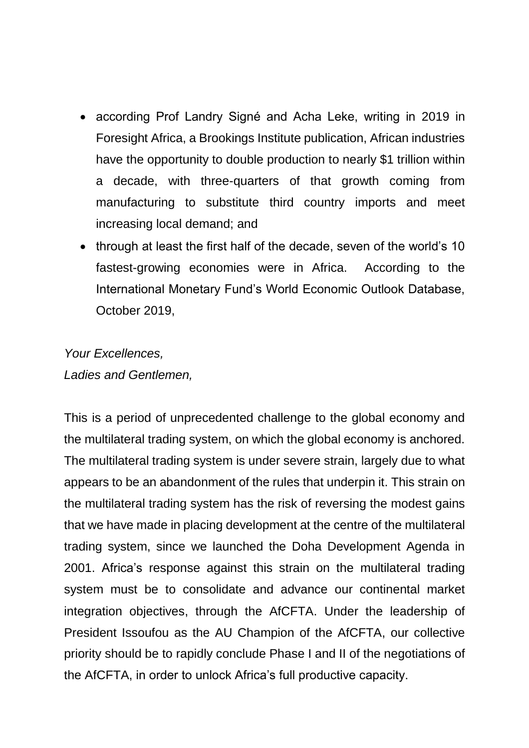- according Prof Landry Signé and Acha Leke, writing in 2019 in Foresight Africa, a Brookings Institute publication, African industries have the opportunity to double production to nearly \$1 trillion within a decade, with three-quarters of that growth coming from manufacturing to substitute third country imports and meet increasing local demand; and
- through at least the first half of the decade, seven of the world's 10 fastest-growing economies were in Africa. According to the International Monetary Fund's World Economic Outlook Database, October 2019,

#### *Your Excellences, Ladies and Gentlemen,*

This is a period of unprecedented challenge to the global economy and the multilateral trading system, on which the global economy is anchored. The multilateral trading system is under severe strain, largely due to what appears to be an abandonment of the rules that underpin it. This strain on the multilateral trading system has the risk of reversing the modest gains that we have made in placing development at the centre of the multilateral trading system, since we launched the Doha Development Agenda in 2001. Africa's response against this strain on the multilateral trading system must be to consolidate and advance our continental market integration objectives, through the AfCFTA. Under the leadership of President Issoufou as the AU Champion of the AfCFTA, our collective priority should be to rapidly conclude Phase I and II of the negotiations of the AfCFTA, in order to unlock Africa's full productive capacity.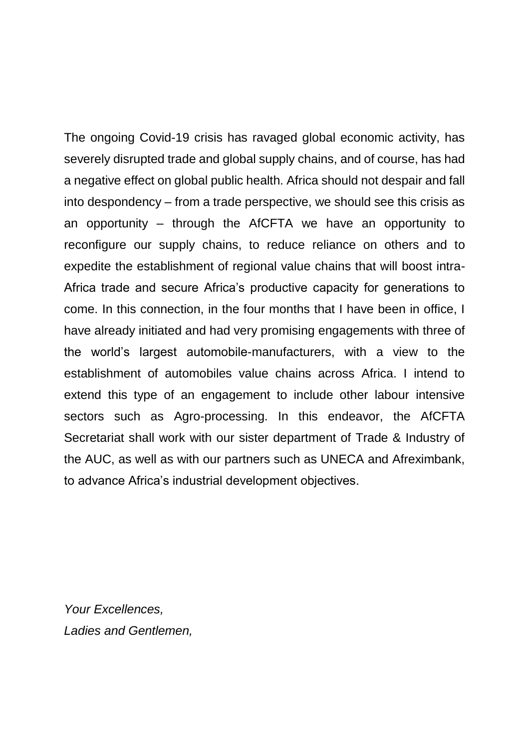The ongoing Covid-19 crisis has ravaged global economic activity, has severely disrupted trade and global supply chains, and of course, has had a negative effect on global public health. Africa should not despair and fall into despondency – from a trade perspective, we should see this crisis as an opportunity – through the AfCFTA we have an opportunity to reconfigure our supply chains, to reduce reliance on others and to expedite the establishment of regional value chains that will boost intra-Africa trade and secure Africa's productive capacity for generations to come. In this connection, in the four months that I have been in office, I have already initiated and had very promising engagements with three of the world's largest automobile-manufacturers, with a view to the establishment of automobiles value chains across Africa. I intend to extend this type of an engagement to include other labour intensive sectors such as Agro-processing. In this endeavor, the AfCFTA Secretariat shall work with our sister department of Trade & Industry of the AUC, as well as with our partners such as UNECA and Afreximbank, to advance Africa's industrial development objectives.

*Your Excellences, Ladies and Gentlemen,*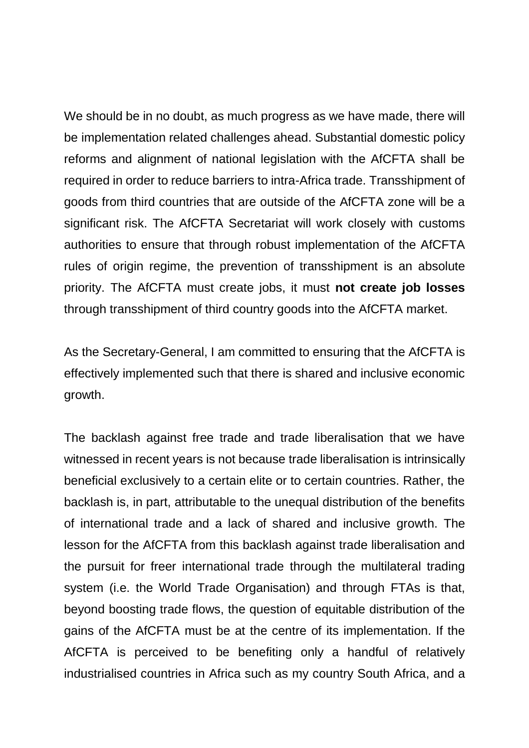We should be in no doubt, as much progress as we have made, there will be implementation related challenges ahead. Substantial domestic policy reforms and alignment of national legislation with the AfCFTA shall be required in order to reduce barriers to intra-Africa trade. Transshipment of goods from third countries that are outside of the AfCFTA zone will be a significant risk. The AfCFTA Secretariat will work closely with customs authorities to ensure that through robust implementation of the AfCFTA rules of origin regime, the prevention of transshipment is an absolute priority. The AfCFTA must create jobs, it must **not create job losses** through transshipment of third country goods into the AfCFTA market.

As the Secretary-General, I am committed to ensuring that the AfCFTA is effectively implemented such that there is shared and inclusive economic growth.

The backlash against free trade and trade liberalisation that we have witnessed in recent years is not because trade liberalisation is intrinsically beneficial exclusively to a certain elite or to certain countries. Rather, the backlash is, in part, attributable to the unequal distribution of the benefits of international trade and a lack of shared and inclusive growth. The lesson for the AfCFTA from this backlash against trade liberalisation and the pursuit for freer international trade through the multilateral trading system (i.e. the World Trade Organisation) and through FTAs is that, beyond boosting trade flows, the question of equitable distribution of the gains of the AfCFTA must be at the centre of its implementation. If the AfCFTA is perceived to be benefiting only a handful of relatively industrialised countries in Africa such as my country South Africa, and a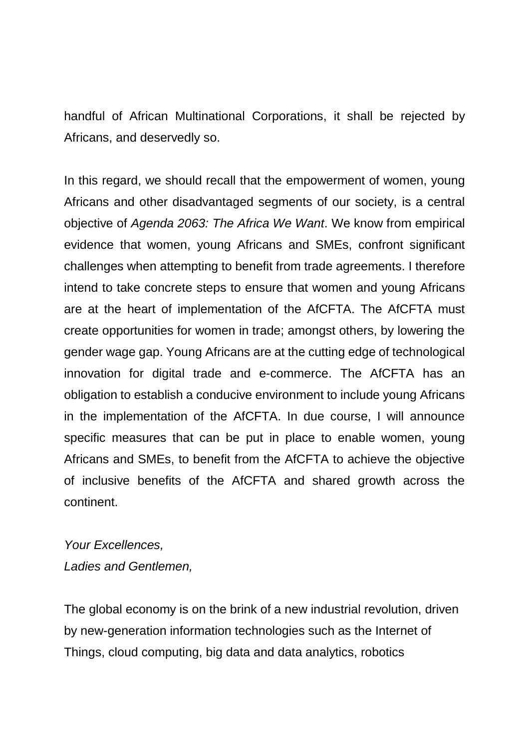handful of African Multinational Corporations, it shall be rejected by Africans, and deservedly so.

In this regard, we should recall that the empowerment of women, young Africans and other disadvantaged segments of our society, is a central objective of *Agenda 2063: The Africa We Want*. We know from empirical evidence that women, young Africans and SMEs, confront significant challenges when attempting to benefit from trade agreements. I therefore intend to take concrete steps to ensure that women and young Africans are at the heart of implementation of the AfCFTA. The AfCFTA must create opportunities for women in trade; amongst others, by lowering the gender wage gap. Young Africans are at the cutting edge of technological innovation for digital trade and e-commerce. The AfCFTA has an obligation to establish a conducive environment to include young Africans in the implementation of the AfCFTA. In due course, I will announce specific measures that can be put in place to enable women, young Africans and SMEs, to benefit from the AfCFTA to achieve the objective of inclusive benefits of the AfCFTA and shared growth across the continent.

#### *Your Excellences, Ladies and Gentlemen,*

The global economy is on the brink of a new industrial revolution, driven by new-generation information technologies such as the Internet of Things, cloud computing, big data and data analytics, robotics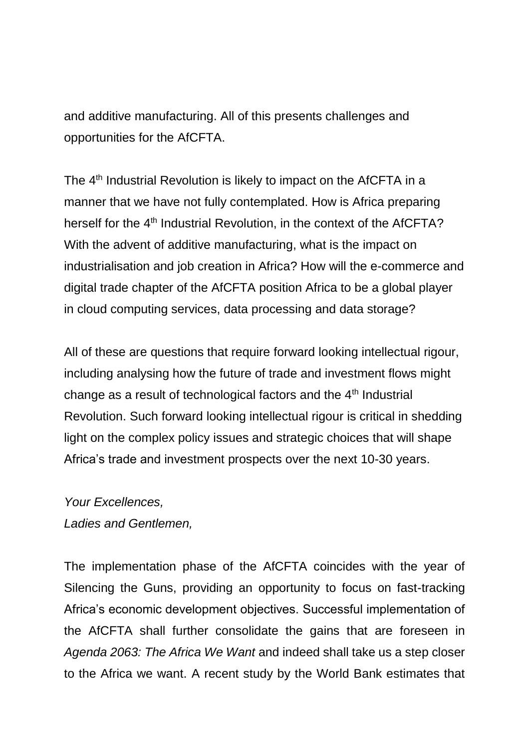and additive manufacturing. All of this presents challenges and opportunities for the AfCFTA.

The 4<sup>th</sup> Industrial Revolution is likely to impact on the AfCFTA in a manner that we have not fully contemplated. How is Africa preparing herself for the 4<sup>th</sup> Industrial Revolution, in the context of the AfCFTA? With the advent of additive manufacturing, what is the impact on industrialisation and job creation in Africa? How will the e-commerce and digital trade chapter of the AfCFTA position Africa to be a global player in cloud computing services, data processing and data storage?

All of these are questions that require forward looking intellectual rigour, including analysing how the future of trade and investment flows might change as a result of technological factors and the  $4<sup>th</sup>$  Industrial Revolution. Such forward looking intellectual rigour is critical in shedding light on the complex policy issues and strategic choices that will shape Africa's trade and investment prospects over the next 10-30 years.

#### *Your Excellences,*

*Ladies and Gentlemen,* 

The implementation phase of the AfCFTA coincides with the year of Silencing the Guns, providing an opportunity to focus on fast-tracking Africa's economic development objectives. Successful implementation of the AfCFTA shall further consolidate the gains that are foreseen in *Agenda 2063: The Africa We Want* and indeed shall take us a step closer to the Africa we want. A recent study by the World Bank estimates that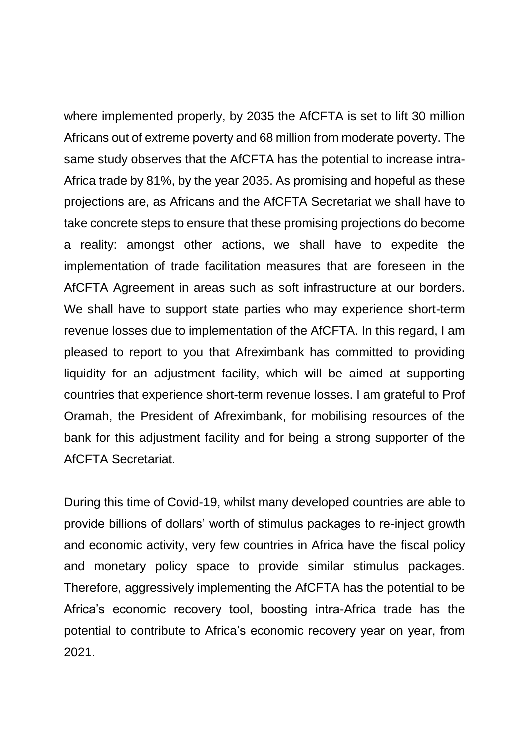where implemented properly, by 2035 the AfCFTA is set to lift 30 million Africans out of extreme poverty and 68 million from moderate poverty. The same study observes that the AfCFTA has the potential to increase intra-Africa trade by 81%, by the year 2035. As promising and hopeful as these projections are, as Africans and the AfCFTA Secretariat we shall have to take concrete steps to ensure that these promising projections do become a reality: amongst other actions, we shall have to expedite the implementation of trade facilitation measures that are foreseen in the AfCFTA Agreement in areas such as soft infrastructure at our borders. We shall have to support state parties who may experience short-term revenue losses due to implementation of the AfCFTA. In this regard, I am pleased to report to you that Afreximbank has committed to providing liquidity for an adjustment facility, which will be aimed at supporting countries that experience short-term revenue losses. I am grateful to Prof Oramah, the President of Afreximbank, for mobilising resources of the bank for this adjustment facility and for being a strong supporter of the AfCFTA Secretariat.

During this time of Covid-19, whilst many developed countries are able to provide billions of dollars' worth of stimulus packages to re-inject growth and economic activity, very few countries in Africa have the fiscal policy and monetary policy space to provide similar stimulus packages. Therefore, aggressively implementing the AfCFTA has the potential to be Africa's economic recovery tool, boosting intra-Africa trade has the potential to contribute to Africa's economic recovery year on year, from 2021.